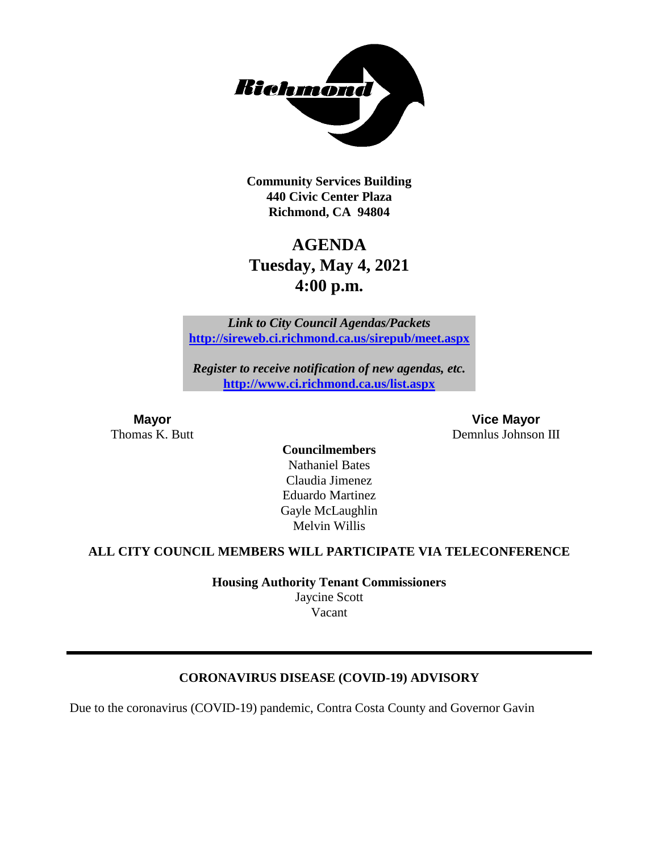

**Community Services Building 440 Civic Center Plaza Richmond, CA 94804**

# **AGENDA Tuesday, May 4, 2021 4:00 p.m.**

*Link to City Council Agendas/Packets* **<http://sireweb.ci.richmond.ca.us/sirepub/meet.aspx>**

*Register to receive notification of new agendas, etc.* **<http://www.ci.richmond.ca.us/list.aspx>**

**Mayor Vice Mayor** Thomas K. Butt Demnlus Johnson III

**Councilmembers** Nathaniel Bates Claudia Jimenez Eduardo Martinez Gayle McLaughlin Melvin Willis

#### **ALL CITY COUNCIL MEMBERS WILL PARTICIPATE VIA TELECONFERENCE**

**Housing Authority Tenant Commissioners** Jaycine Scott Vacant

# **CORONAVIRUS DISEASE (COVID-19) ADVISORY**

Due to the coronavirus (COVID-19) pandemic, Contra Costa County and Governor Gavin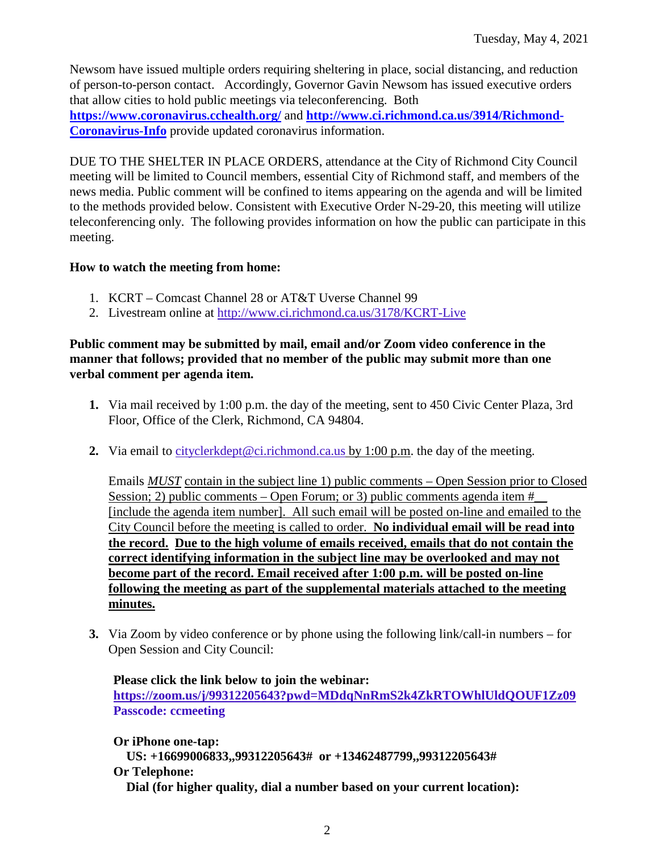Newsom have issued multiple orders requiring sheltering in place, social distancing, and reduction of person-to-person contact. Accordingly, Governor Gavin Newsom has issued executive orders that allow cities to hold public meetings via teleconferencing. Both **<https://www.coronavirus.cchealth.org/>** and **[http://www.ci.richmond.ca.us/3914/Richmond-](http://www.ci.richmond.ca.us/3914/Richmond-Coronavirus-Info)**

**[Coronavirus-Info](http://www.ci.richmond.ca.us/3914/Richmond-Coronavirus-Info)** provide updated coronavirus information.

DUE TO THE SHELTER IN PLACE ORDERS, attendance at the City of Richmond City Council meeting will be limited to Council members, essential City of Richmond staff, and members of the news media. Public comment will be confined to items appearing on the agenda and will be limited to the methods provided below. Consistent with Executive Order N-29-20, this meeting will utilize teleconferencing only. The following provides information on how the public can participate in this meeting.

#### **How to watch the meeting from home:**

- 1. KCRT Comcast Channel 28 or AT&T Uverse Channel 99
- 2. Livestream online at<http://www.ci.richmond.ca.us/3178/KCRT-Live>

#### **Public comment may be submitted by mail, email and/or Zoom video conference in the manner that follows; provided that no member of the public may submit more than one verbal comment per agenda item.**

- **1.** Via mail received by 1:00 p.m. the day of the meeting, sent to 450 Civic Center Plaza, 3rd Floor, Office of the Clerk, Richmond, CA 94804.
- **2.** Via email to [cityclerkdept@ci.richmond.ca.us](mailto:cityclerkdept@ci.richmond.ca.us) by 1:00 p.m. the day of the meeting.

Emails *MUST* contain in the subject line 1) public comments – Open Session prior to Closed Session; 2) public comments – Open Forum; or 3) public comments agenda item  $#$ [include the agenda item number]. All such email will be posted on-line and emailed to the City Council before the meeting is called to order. **No individual email will be read into the record. Due to the high volume of emails received, emails that do not contain the correct identifying information in the subject line may be overlooked and may not become part of the record. Email received after 1:00 p.m. will be posted on-line following the meeting as part of the supplemental materials attached to the meeting minutes.**

**3.** Via Zoom by video conference or by phone using the following link/call-in numbers – for Open Session and City Council:

**Please click the link below to join the webinar: <https://zoom.us/j/99312205643?pwd=MDdqNnRmS2k4ZkRTOWhlUldQOUF1Zz09> Passcode: ccmeeting**

**Or iPhone one-tap: US: +16699006833,,99312205643# or +13462487799,,99312205643# Or Telephone: Dial (for higher quality, dial a number based on your current location):**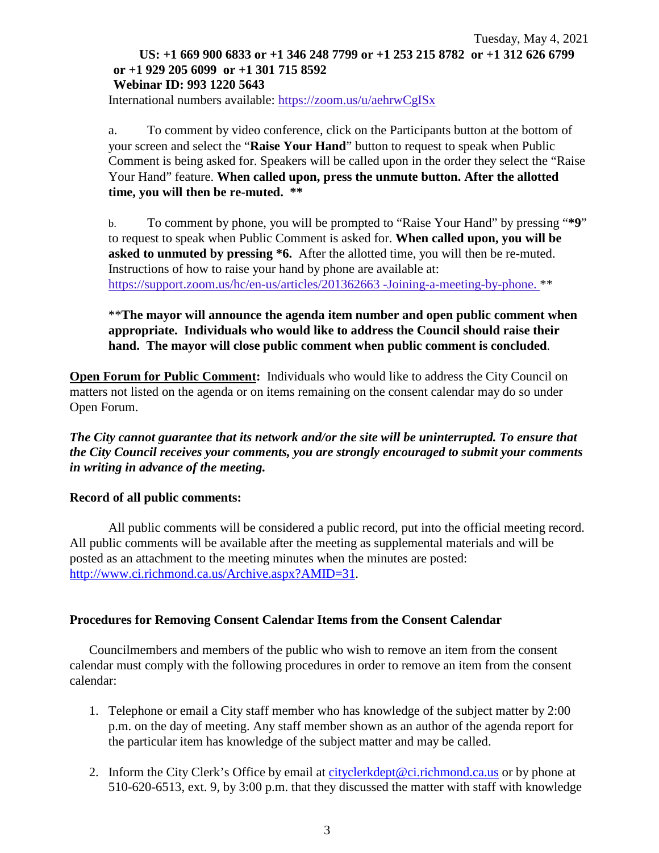## Tuesday, May 4, 2021 **US: +1 669 900 6833 or +1 346 248 7799 or +1 253 215 8782 or +1 312 626 6799 or +1 929 205 6099 or +1 301 715 8592 Webinar ID: 993 1220 5643**

International numbers available: <https://zoom.us/u/aehrwCgISx>

a. To comment by video conference, click on the Participants button at the bottom of your screen and select the "**Raise Your Hand**" button to request to speak when Public Comment is being asked for. Speakers will be called upon in the order they select the "Raise Your Hand" feature. **When called upon, press the unmute button. After the allotted time, you will then be re-muted. \*\***

b. To comment by phone, you will be prompted to "Raise Your Hand" by pressing "**\*9**" to request to speak when Public Comment is asked for. **When called upon, you will be asked to unmuted by pressing \*6.** After the allotted time, you will then be re-muted. Instructions of how to raise your hand by phone are available at: [https://support.zoom.us/hc/en-us/articles/201362663 -Joining-a-meeting-by-phone.](https://support.zoom.us/hc/en-us/articles/201362663) \*\*

\*\***The mayor will announce the agenda item number and open public comment when appropriate. Individuals who would like to address the Council should raise their hand. The mayor will close public comment when public comment is concluded**.

**Open Forum for Public Comment:** Individuals who would like to address the City Council on matters not listed on the agenda or on items remaining on the consent calendar may do so under Open Forum.

*The City cannot guarantee that its network and/or the site will be uninterrupted. To ensure that the City Council receives your comments, you are strongly encouraged to submit your comments in writing in advance of the meeting.* 

#### **Record of all public comments:**

All public comments will be considered a public record, put into the official meeting record. All public comments will be available after the meeting as supplemental materials and will be posted as an attachment to the meeting minutes when the minutes are posted: [http://www.ci.richmond.ca.us/Archive.aspx?AMID=31.](http://www.ci.richmond.ca.us/Archive.aspx?AMID=31)

#### **Procedures for Removing Consent Calendar Items from the Consent Calendar**

Councilmembers and members of the public who wish to remove an item from the consent calendar must comply with the following procedures in order to remove an item from the consent calendar:

- 1. Telephone or email a City staff member who has knowledge of the subject matter by 2:00 p.m. on the day of meeting. Any staff member shown as an author of the agenda report for the particular item has knowledge of the subject matter and may be called.
- 2. Inform the City Clerk's Office by email at [cityclerkdept@ci.richmond.ca.us](mailto:cityclerkdept@ci.richmond.ca.us) or by phone at 510-620-6513, ext. 9, by 3:00 p.m. that they discussed the matter with staff with knowledge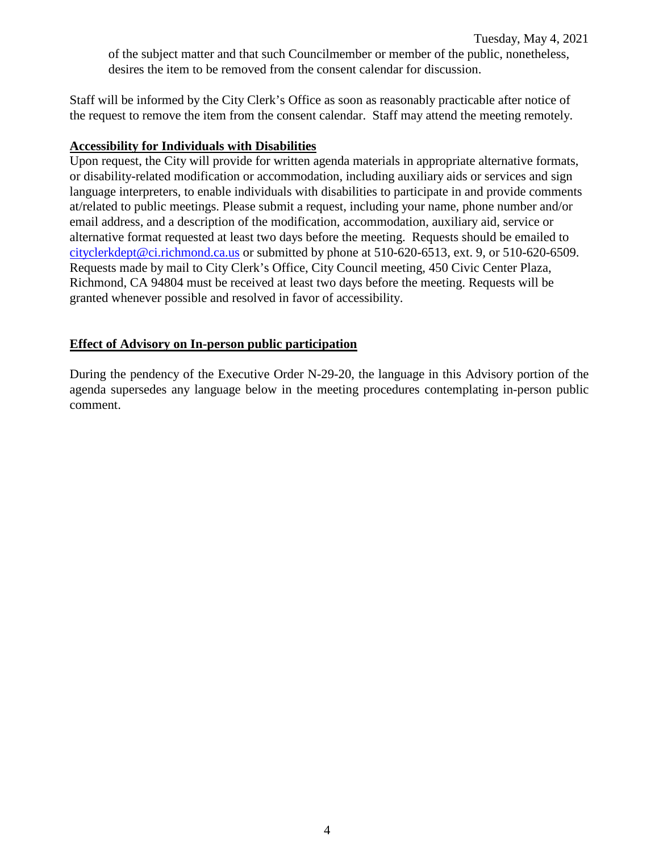Staff will be informed by the City Clerk's Office as soon as reasonably practicable after notice of the request to remove the item from the consent calendar. Staff may attend the meeting remotely.

### **Accessibility for Individuals with Disabilities**

Upon request, the City will provide for written agenda materials in appropriate alternative formats, or disability-related modification or accommodation, including auxiliary aids or services and sign language interpreters, to enable individuals with disabilities to participate in and provide comments at/related to public meetings. Please submit a request, including your name, phone number and/or email address, and a description of the modification, accommodation, auxiliary aid, service or alternative format requested at least two days before the meeting. Requests should be emailed to [cityclerkdept@ci.richmond.ca.us](mailto:cityclerkdept@ci.richmond.ca.us) or submitted by phone at 510-620-6513, ext. 9, or 510-620-6509. Requests made by mail to City Clerk's Office, City Council meeting, 450 Civic Center Plaza, Richmond, CA 94804 must be received at least two days before the meeting. Requests will be granted whenever possible and resolved in favor of accessibility.

# **Effect of Advisory on In-person public participation**

During the pendency of the Executive Order N-29-20, the language in this Advisory portion of the agenda supersedes any language below in the meeting procedures contemplating in-person public comment.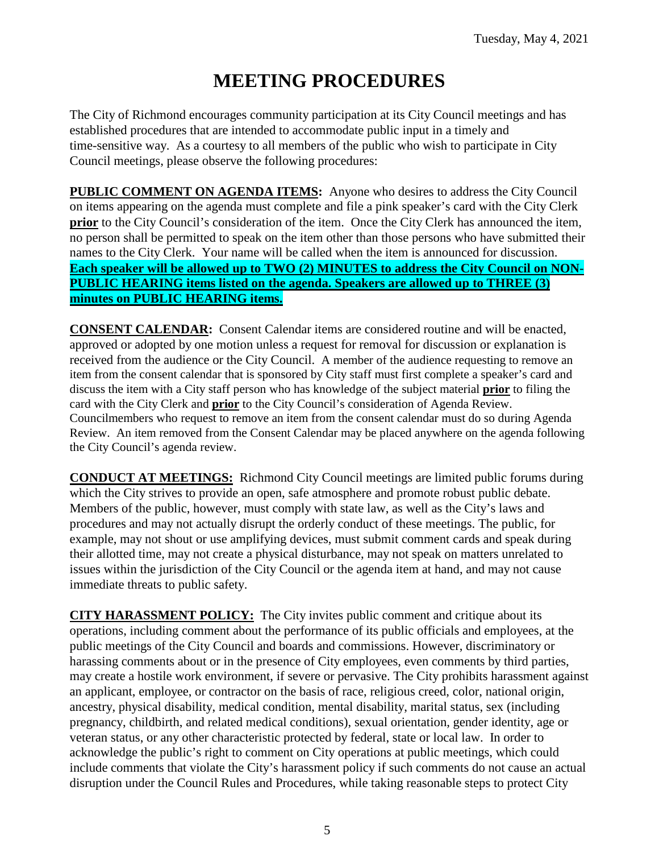# **MEETING PROCEDURES**

The City of Richmond encourages community participation at its City Council meetings and has established procedures that are intended to accommodate public input in a timely and time-sensitive way. As a courtesy to all members of the public who wish to participate in City Council meetings, please observe the following procedures:

**PUBLIC COMMENT ON AGENDA ITEMS:** Anyone who desires to address the City Council on items appearing on the agenda must complete and file a pink speaker's card with the City Clerk **prior** to the City Council's consideration of the item. Once the City Clerk has announced the item, no person shall be permitted to speak on the item other than those persons who have submitted their names to the City Clerk. Your name will be called when the item is announced for discussion. **Each speaker will be allowed up to TWO (2) MINUTES to address the City Council on NON-PUBLIC HEARING items listed on the agenda. Speakers are allowed up to THREE (3) minutes on PUBLIC HEARING items.**

**CONSENT CALENDAR:** Consent Calendar items are considered routine and will be enacted, approved or adopted by one motion unless a request for removal for discussion or explanation is received from the audience or the City Council. A member of the audience requesting to remove an item from the consent calendar that is sponsored by City staff must first complete a speaker's card and discuss the item with a City staff person who has knowledge of the subject material **prior** to filing the card with the City Clerk and **prior** to the City Council's consideration of Agenda Review. Councilmembers who request to remove an item from the consent calendar must do so during Agenda Review. An item removed from the Consent Calendar may be placed anywhere on the agenda following the City Council's agenda review.

**CONDUCT AT MEETINGS:** Richmond City Council meetings are limited public forums during which the City strives to provide an open, safe atmosphere and promote robust public debate. Members of the public, however, must comply with state law, as well as the City's laws and procedures and may not actually disrupt the orderly conduct of these meetings. The public, for example, may not shout or use amplifying devices, must submit comment cards and speak during their allotted time, may not create a physical disturbance, may not speak on matters unrelated to issues within the jurisdiction of the City Council or the agenda item at hand, and may not cause immediate threats to public safety.

**CITY HARASSMENT POLICY:** The City invites public comment and critique about its operations, including comment about the performance of its public officials and employees, at the public meetings of the City Council and boards and commissions. However, discriminatory or harassing comments about or in the presence of City employees, even comments by third parties, may create a hostile work environment, if severe or pervasive. The City prohibits harassment against an applicant, employee, or contractor on the basis of race, religious creed, color, national origin, ancestry, physical disability, medical condition, mental disability, marital status, sex (including pregnancy, childbirth, and related medical conditions), sexual orientation, gender identity, age or veteran status, or any other characteristic protected by federal, state or local law. In order to acknowledge the public's right to comment on City operations at public meetings, which could include comments that violate the City's harassment policy if such comments do not cause an actual disruption under the Council Rules and Procedures, while taking reasonable steps to protect City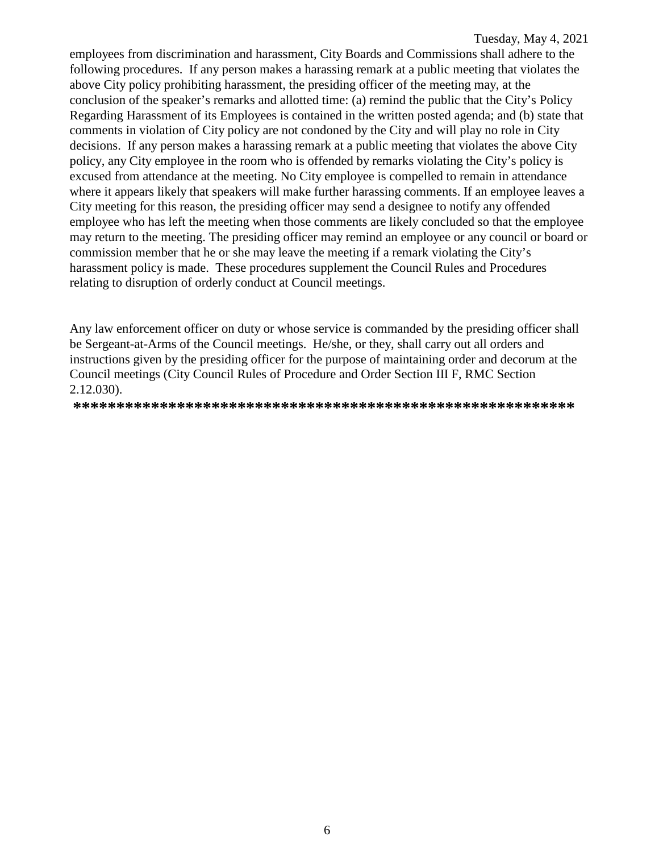employees from discrimination and harassment, City Boards and Commissions shall adhere to the following procedures. If any person makes a harassing remark at a public meeting that violates the above City policy prohibiting harassment, the presiding officer of the meeting may, at the conclusion of the speaker's remarks and allotted time: (a) remind the public that the City's Policy Regarding Harassment of its Employees is contained in the written posted agenda; and (b) state that comments in violation of City policy are not condoned by the City and will play no role in City decisions. If any person makes a harassing remark at a public meeting that violates the above City policy, any City employee in the room who is offended by remarks violating the City's policy is excused from attendance at the meeting. No City employee is compelled to remain in attendance where it appears likely that speakers will make further harassing comments. If an employee leaves a City meeting for this reason, the presiding officer may send a designee to notify any offended employee who has left the meeting when those comments are likely concluded so that the employee may return to the meeting. The presiding officer may remind an employee or any council or board or commission member that he or she may leave the meeting if a remark violating the City's harassment policy is made. These procedures supplement the Council Rules and Procedures relating to disruption of orderly conduct at Council meetings.

Any law enforcement officer on duty or whose service is commanded by the presiding officer shall be Sergeant-at-Arms of the Council meetings. He/she, or they, shall carry out all orders and instructions given by the presiding officer for the purpose of maintaining order and decorum at the Council meetings (City Council Rules of Procedure and Order Section III F, RMC Section 2.12.030).

**\*\*\*\*\*\*\*\*\*\*\*\*\*\*\*\*\*\*\*\*\*\*\*\*\*\*\*\*\*\*\*\*\*\*\*\*\*\*\*\*\*\*\*\*\*\*\*\*\*\*\*\*\*\*\*\*\*\***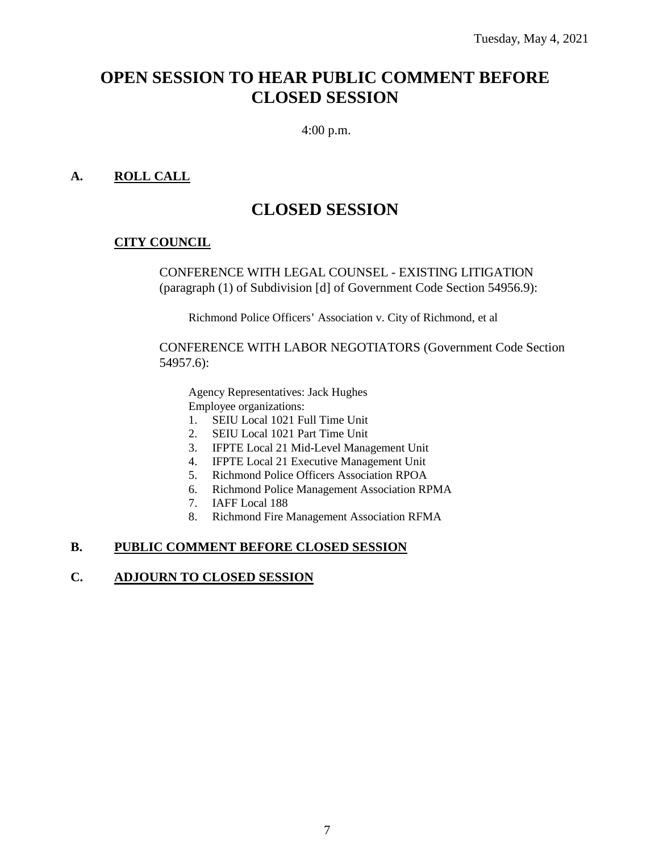# **OPEN SESSION TO HEAR PUBLIC COMMENT BEFORE CLOSED SESSION**

4:00 p.m.

## **A. ROLL CALL**

# **CLOSED SESSION**

#### **CITY COUNCIL**

CONFERENCE WITH LEGAL COUNSEL - EXISTING LITIGATION (paragraph (1) of Subdivision [d] of Government Code Section 54956.9):

Richmond Police Officers' Association v. City of Richmond, et al

CONFERENCE WITH LABOR NEGOTIATORS (Government Code Section 54957.6):

Agency Representatives: Jack Hughes Employee organizations:

- 1. SEIU Local 1021 Full Time Unit<br>2. SEIU Local 1021 Part Time Unit
- 2. SEIU Local 1021 Part Time Unit
- 3. IFPTE Local 21 Mid-Level Management Unit
- 4. IFPTE Local 21 Executive Management Unit
- 5. Richmond Police Officers Association RPOA
- 6. Richmond Police Management Association RPMA
- 7. IAFF Local 188
- 8. Richmond Fire Management Association RFMA

#### **B. PUBLIC COMMENT BEFORE CLOSED SESSION**

#### **C. ADJOURN TO CLOSED SESSION**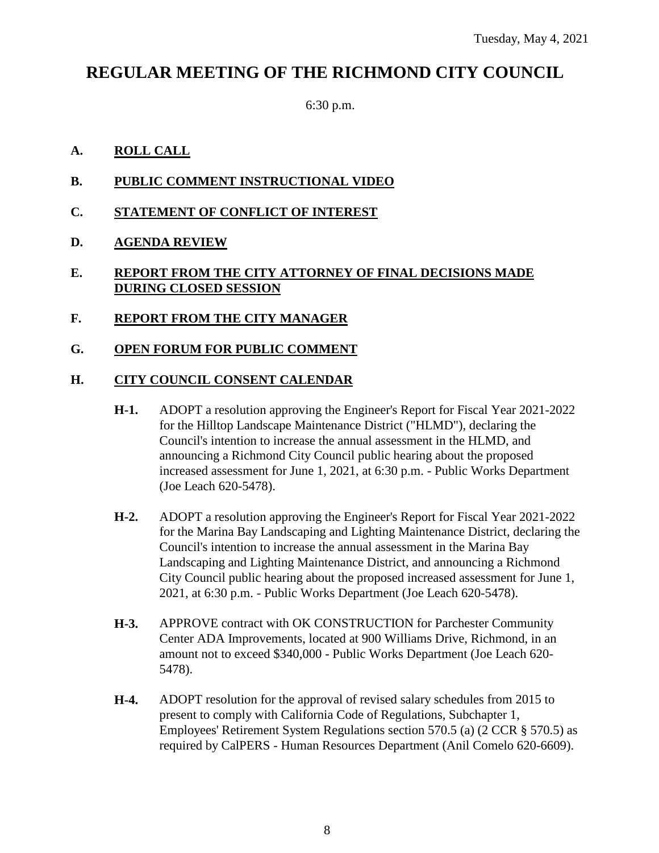# **REGULAR MEETING OF THE RICHMOND CITY COUNCIL**

6:30 p.m.

## **A. ROLL CALL**

- **B. PUBLIC COMMENT INSTRUCTIONAL VIDEO**
- **C. STATEMENT OF CONFLICT OF INTEREST**
- **D. AGENDA REVIEW**

## **E. REPORT FROM THE CITY ATTORNEY OF FINAL DECISIONS MADE DURING CLOSED SESSION**

**F. REPORT FROM THE CITY MANAGER**

#### **G. OPEN FORUM FOR PUBLIC COMMENT**

#### **H. CITY COUNCIL CONSENT CALENDAR**

- **H-1.** ADOPT a resolution approving the Engineer's Report for Fiscal Year 2021-2022 for the Hilltop Landscape Maintenance District ("HLMD"), declaring the Council's intention to increase the annual assessment in the HLMD, and announcing a Richmond City Council public hearing about the proposed increased assessment for June 1, 2021, at 6:30 p.m. - Public Works Department (Joe Leach 620-5478).
- **H-2.** ADOPT a resolution approving the Engineer's Report for Fiscal Year 2021-2022 for the Marina Bay Landscaping and Lighting Maintenance District, declaring the Council's intention to increase the annual assessment in the Marina Bay Landscaping and Lighting Maintenance District, and announcing a Richmond City Council public hearing about the proposed increased assessment for June 1, 2021, at 6:30 p.m. - Public Works Department (Joe Leach 620-5478).
- **H-3.** APPROVE contract with OK CONSTRUCTION for Parchester Community Center ADA Improvements, located at 900 Williams Drive, Richmond, in an amount not to exceed \$340,000 - Public Works Department (Joe Leach 620- 5478).
- **H-4.** ADOPT resolution for the approval of revised salary schedules from 2015 to present to comply with California Code of Regulations, Subchapter 1, Employees' Retirement System Regulations section 570.5 (a) (2 CCR § 570.5) as required by CalPERS - Human Resources Department (Anil Comelo 620-6609).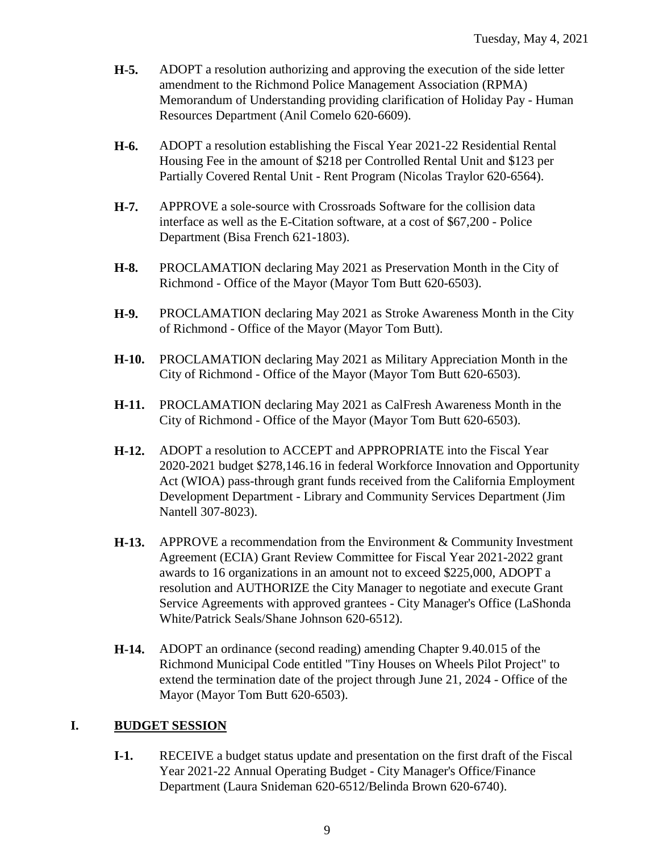- **H-5.** ADOPT a resolution authorizing and approving the execution of the side letter amendment to the Richmond Police Management Association (RPMA) Memorandum of Understanding providing clarification of Holiday Pay - Human Resources Department (Anil Comelo 620-6609).
- **H-6.** ADOPT a resolution establishing the Fiscal Year 2021-22 Residential Rental Housing Fee in the amount of \$218 per Controlled Rental Unit and \$123 per Partially Covered Rental Unit - Rent Program (Nicolas Traylor 620-6564).
- **H-7.** APPROVE a sole-source with Crossroads Software for the collision data interface as well as the E-Citation software, at a cost of \$67,200 - Police Department (Bisa French 621-1803).
- **H-8.** PROCLAMATION declaring May 2021 as Preservation Month in the City of Richmond - Office of the Mayor (Mayor Tom Butt 620-6503).
- **H-9.** PROCLAMATION declaring May 2021 as Stroke Awareness Month in the City of Richmond - Office of the Mayor (Mayor Tom Butt).
- **H-10.** PROCLAMATION declaring May 2021 as Military Appreciation Month in the City of Richmond - Office of the Mayor (Mayor Tom Butt 620-6503).
- **H-11.** PROCLAMATION declaring May 2021 as CalFresh Awareness Month in the City of Richmond - Office of the Mayor (Mayor Tom Butt 620-6503).
- **H-12.** ADOPT a resolution to ACCEPT and APPROPRIATE into the Fiscal Year 2020-2021 budget \$278,146.16 in federal Workforce Innovation and Opportunity Act (WIOA) pass-through grant funds received from the California Employment Development Department - Library and Community Services Department (Jim Nantell 307-8023).
- **H-13.** APPROVE a recommendation from the Environment & Community Investment Agreement (ECIA) Grant Review Committee for Fiscal Year 2021-2022 grant awards to 16 organizations in an amount not to exceed \$225,000, ADOPT a resolution and AUTHORIZE the City Manager to negotiate and execute Grant Service Agreements with approved grantees - City Manager's Office (LaShonda White/Patrick Seals/Shane Johnson 620-6512).
- **H-14.** ADOPT an ordinance (second reading) amending Chapter 9.40.015 of the Richmond Municipal Code entitled "Tiny Houses on Wheels Pilot Project" to extend the termination date of the project through June 21, 2024 - Office of the Mayor (Mayor Tom Butt 620-6503).

#### **I. BUDGET SESSION**

**I-1.** RECEIVE a budget status update and presentation on the first draft of the Fiscal Year 2021-22 Annual Operating Budget - City Manager's Office/Finance Department (Laura Snideman 620-6512/Belinda Brown 620-6740).